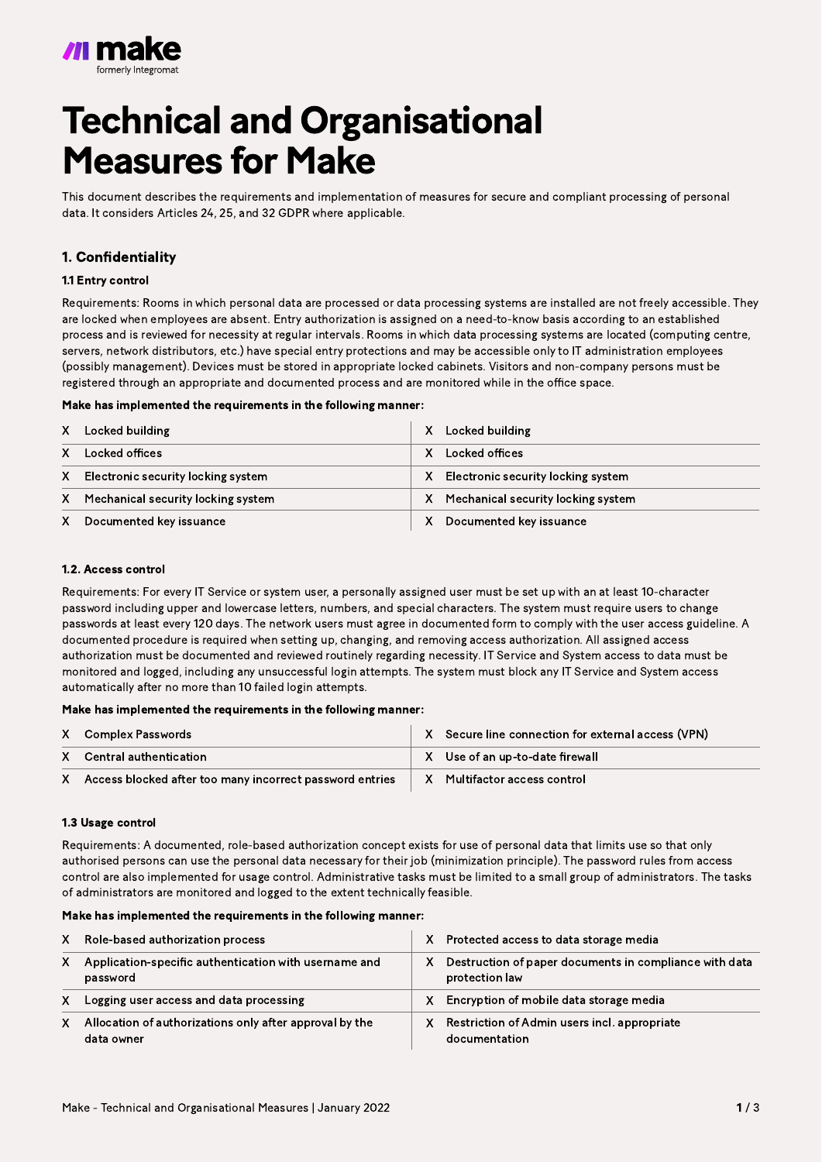

# Technical and Organisational Measures for Make

This document describes the requirements and implementation of measures for secure and compliant processing of personal data. It considers Articles 24, 25, and 32 GDPR where applicable.

# 1. Confidentiality

#### 1.1 Entry control

Requirements: Rooms in which personal data are processed or data processing systems are installed are not freely accessible. They are locked when employees are absent. Entry authorization is assigned on a need-to-know basis according to an established process and is reviewed for necessity at regular intervals. Rooms in which data processing systems are located (computing centre, servers, network distributors, etc.) have special entry protections and may be accessible only to IT administration employees (possibly management). Devices must be stored in appropriate locked cabinets. Visitors and non-company persons must be registered through an appropriate and documented process and are monitored while in the office space.

#### Make has implemented the requirements in the following manner:

#### 1.2. Access control

Requirements: For every IT Service or system user, a personally assigned user must be set up with an at least 10-character password including upper and lowercase letters, numbers, and special characters. The system must require users to change passwords at least every 120 days. The network users must agree in documented form to comply with the user access guideline. A documented procedure is required when setting up, changing, and removing access authorization. All assigned access authorization must be documented and reviewed routinely regarding necessity. IT Service and System access to data must be monitored and logged, including any unsuccessful login attempts. The system must block any IT Service and System access automatically after no more than 10 failed login attempts.

## Make has implemented the requirements in the following manner:

# 1.3 Usage control

Requirements: A documented, role-based authorization concept exists for use of personal data that limits use so that only authorised persons can use the personal data necessary for their job (minimization principle). The password rules from access control are also implemented for usage control. Administrative tasks must be limited to a small group of administrators. The tasks of administrators are monitored and logged to the extent technically feasible.

## Make has implemented the requirements in the following manner:

| X       | Locked building                    | X | Locked building                    |
|---------|------------------------------------|---|------------------------------------|
|         | Locked offices                     | X | Locked offices                     |
| $X -$   | Electronic security locking system | X | Electronic security locking system |
| $X_{-}$ | Mechanical security locking system | X | Mechanical security locking system |
| $X_{-}$ | Documented key issuance            | X | Documented key issuance            |

| X | Role-based authorization process                                      | X | Protected access to data storage media                                   |
|---|-----------------------------------------------------------------------|---|--------------------------------------------------------------------------|
| X | Application-specific authentication with username and<br>password     | X | Destruction of paper documents in compliance with data<br>protection law |
| X | Logging user access and data processing                               | X | Encryption of mobile data storage media                                  |
| X | Allocation of authorizations only after approval by the<br>data owner | X | Restriction of Admin users incl. appropriate<br>documentation            |

|   | X Complex Passwords                                      | X Secure line connection for external access (VPN) |
|---|----------------------------------------------------------|----------------------------------------------------|
|   | X Central authentication                                 | X Use of an up-to-date firewall                    |
| X | Access blocked after too many incorrect password entries | X Multifactor access control                       |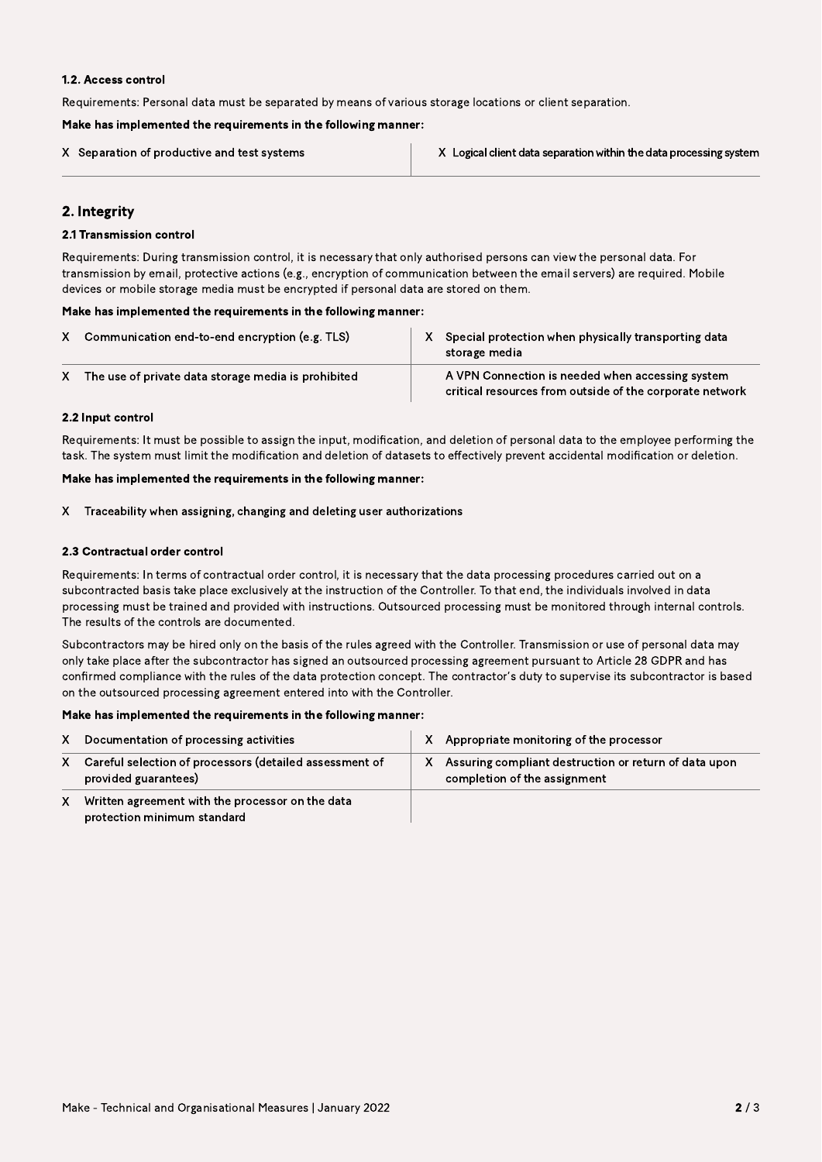#### 1.2. Access control

Requirements: Personal data must be separated by means of various storage locations or client separation.

#### Make has implemented the requirements in the following manner:

## 2.2 Input control

Requirements: It must be possible to assign the input, modification, and deletion of personal data to the employee performing the task. The system must limit the modification and deletion of datasets to effectively prevent accidental modification or deletion.

## Make has implemented the requirements in the following manner:

| X Separation of productive and test systems | X Logical client data separation within the data processing system |
|---------------------------------------------|--------------------------------------------------------------------|
|                                             |                                                                    |

# 2. Integrity

## 2.1 Transmission control

Requirements: During transmission control, it is necessary that only authorised persons can view the personal data. For transmission by email, protective actions (e.g., encryption of communication between the email servers) are required. Mobile devices or mobile storage media must be encrypted if personal data are stored on them.

#### Make has implemented the requirements in the following manner:

| Communication end-to-end encryption (e.g. TLS)      | Special protection when physically transporting data<br>storage media                                        |
|-----------------------------------------------------|--------------------------------------------------------------------------------------------------------------|
| The use of private data storage media is prohibited | A VPN Connection is needed when accessing system<br>critical resources from outside of the corporate network |

Traceability when assigning, changing and deleting user authorizations X

## 2.3 Contractual order control

Requirements: In terms of contractual order control, it is necessary that the data processing procedures carried out on a subcontracted basis take place exclusively at the instruction of the Controller. To that end, the individuals involved in data processing must be trained and provided with instructions. Outsourced processing must be monitored through internal controls. The results of the controls are documented.

Subcontractors may be hired only on the basis of the rules agreed with the Controller. Transmission or use of personal data may only take place after the subcontractor has signed an outsourced processing agreement pursuant to Article 28 GDPR and has confirmed compliance with the rules of the data protection concept. The contractor's duty to supervise its subcontractor is based on the outsourced processing agreement entered into with the Controller.

## Make has implemented the requirements in the following manner:

| X              | Documentation of processing activities                                          | $\mathsf{X}$ | Appropriate monitoring of the processor                                                 |
|----------------|---------------------------------------------------------------------------------|--------------|-----------------------------------------------------------------------------------------|
| $\mathsf{X}^-$ | Careful selection of processors (detailed assessment of<br>provided guarantees) |              | X Assuring compliant destruction or return of data upon<br>completion of the assignment |
| X              | Written agreement with the processor on the data<br>protection minimum standard |              |                                                                                         |